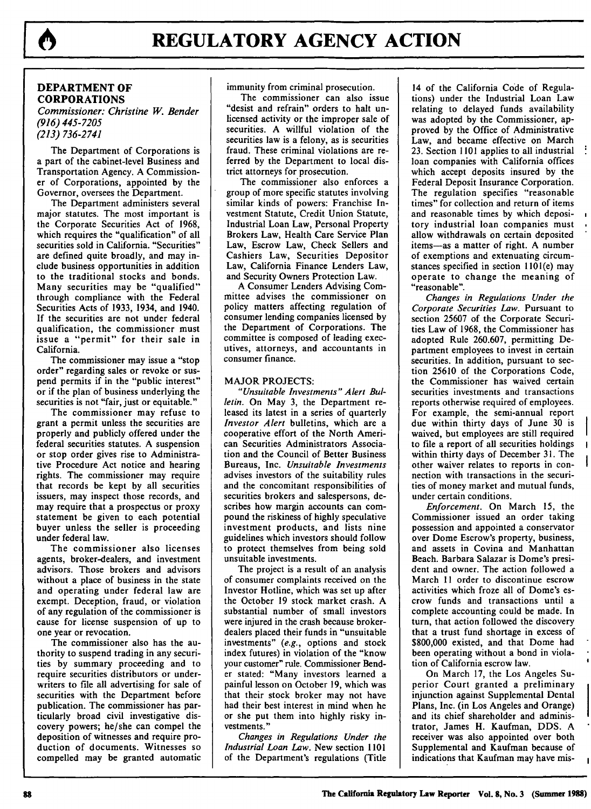

# **DEPARTMENT OF CORPORATIONS**

*Commissioner: Christine W. Bender (916) 445-7205 (213) 736-2741*

The Department of Corporations is a part of the cabinet-level Business and Transportation Agency. A Commissioner of Corporations, appointed by the Governor, oversees the Department.

The Department administers several major statutes. The most important is the Corporate Securities Act of 1968, which requires the "qualification" of all securities sold in California. "Securities" are defined quite broadly, and may include business opportunities in addition to the traditional stocks and bonds. Many securities may be "qualified" through compliance with the Federal Securities Acts of 1933, 1934, and 1940. If the securities are not under federal qualification, the commissioner must issue a "permit" for their sale in California.

The commissioner may issue a "stop order" regarding sales or revoke or suspend permits if in the "public interest" or if the plan of business underlying the securities is not "fair, just or equitable."

The commissioner may refuse to grant a permit unless the securities are properly and publicly offered under the federal securities statutes. A suspension or stop order gives rise to Administrative Procedure Act notice and hearing rights. The commissioner may require that records be kept by all securities issuers, may inspect those records, and may require that a prospectus or proxy statement be given to each potential buyer unless the seller is proceeding under federal law.

The commissioner also licenses agents, broker-dealers, and investment advisors. Those brokers and advisors without a place of business in the state and operating under federal law are exempt. Deception, fraud, or violation of any regulation of the commissioner is cause for license suspension of up to one year or revocation.

The commissioner also has the authority to suspend trading in any securities by summary proceeding and to require securities distributors or underwriters to file all advertising for sale of securities with the Department before publication. The commissioner has particularly broad civil investigative discovery powers; he/she can compel the deposition of witnesses and require production of documents. Witnesses so compelled may be granted automatic immunity from criminal prosecution.

The commissioner can also issue "desist and refrain" orders to halt unlicensed activity or the improper sale of securities. A willful violation of the securities law is a felony, as is securities fraud. These criminal violations are referred by the Department to local district attorneys for prosecution.

The commissioner also enforces a group of more specific statutes involving similar kinds of powers: Franchise Investment Statute, Credit Union Statute, Industrial Loan Law, Personal Property Brokers Law, Health Care Service Plan Law, Escrow Law, Check Sellers and Cashiers Law, Securities Depositor Law, California Finance Lenders Law, and Security Owners Protection Law.

A Consumer Lenders Advising Committee advises the commissioner on policy matters affecting regulation of consumer lending companies licensed by the Department of Corporations. The committee is composed of leading executives, attorneys, and accountants in consumer finance.

#### MAJOR PROJECTS:

*"Unsuitable Investments" Alert Bulletin.* On May 3, the Department released its latest in a series of quarterly *Investor Alert* bulletins, which are a cooperative effort of the North American Securities Administrators Association and the Council of Better Business Bureaus, Inc. *Unsuitable Investments* advises investors of the suitability rules and the concomitant responsibilities of securities brokers and salespersons, describes how margin accounts can compound the riskiness of highly speculative investment products, and lists nine guidelines which investors should follow to protect themselves from being sold unsuitable investments.

The project is a result of an analysis of consumer complaints received on the Investor Hotline, which was set up after the October 19 stock market crash. A substantial number of small investors were injured in the crash because brokerdealers placed their funds in "unsuitable investments" *(e.g.,* options and stock index futures) in violation of the "know your customer" rule. Commissioner Bender stated: "Many investors learned a painful lesson on October **19,** which was that their stock broker may not have had their best interest in mind when he or she put them into **highly** risky investments."

*Changes in Regulations Under the Industrial Loan Law.* New section **1101** of the Department's regulations (Title

14 of the California Code of Regulations) under the Industrial Loan Law relating to delayed funds availability was adopted by the Commissioner, approved by the Office of Administrative Law, and became effective on March 23. Section 1101 applies to all industrial loan companies with California offices which accept deposits insured by the Federal Deposit Insurance Corporation. The regulation specifies "reasonable times" for collection and return of items and reasonable times by which depository industrial loan companies must allow withdrawals on certain deposited items-as a matter of right. A number of exemptions and extenuating circumstances specified in section I101(e) may operate to change the meaning of "reasonable".

*Changes in Regulations Under the Corporate Securities Law.* Pursuant to section 25607 of the Corporate Securities Law of 1968, the Commissioner has adopted Rule 260.607, permitting Department employees to invest in certain securities. In addition, pursuant to section 25610 of the Corporations Code, the Commissioner has waived certain securities investments and transactions reports otherwise required of employees. For example, the semi-annual report due within thirty days of June 30 is waived, but employees are still required to file a report of all securities holdings within thirty days of December 31. The other waiver relates to reports in connection with transactions in the securities of money market and mutual funds, under certain conditions.

*Enforcement.* On March 15, the Commissioner issued an order taking possession and appointed a conservator over Dome Escrow's property, business, and assets in Covina and Manhattan Beach. Barbara Salazar is Dome's president and owner. The action followed a March 11 order to discontinue escrow activities which froze all of Dome's escrow funds and transactions until a complete accounting could be made. In turn, that action followed the discovery that a trust fund shortage in excess of \$800,000 existed, and that Dome had been operating without a bond in violation of California escrow law.

On March 17, the Los Angeles Superior Court granted a preliminary injunction against Supplemental Dental Plans, Inc. (in Los Angeles and Orange) and its chief shareholder and administrator, James H. Kaufman, DDS. A receiver was also appointed over both Supplemental and Kaufman because of indications that Kaufman may have mis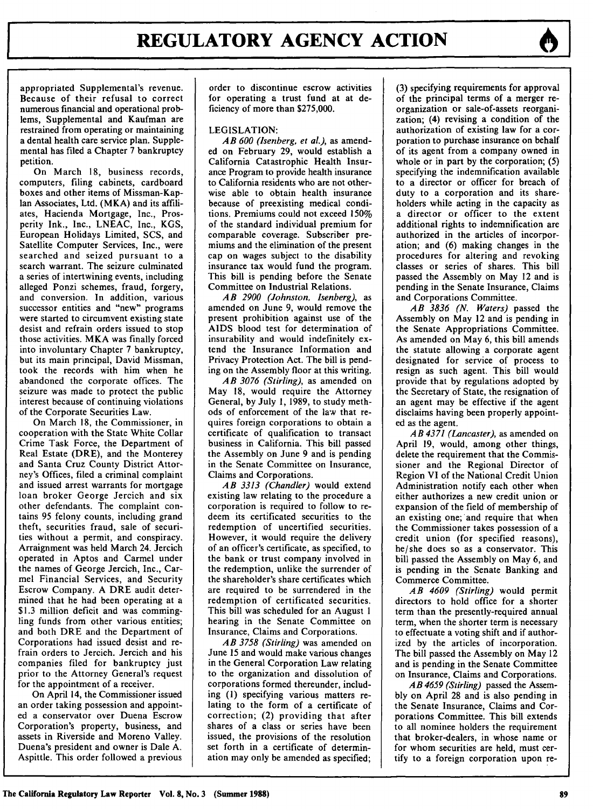appropriated Supplemental's revenue. Because of their refusal to correct numerous financial and operational problems, Supplemental and Kaufman are restrained from operating or maintaining a dental health care service plan. Supplemental has filed a Chapter 7 bankruptcy petition.

On March 18, business records, computers, filing cabinets, cardboard boxes and other items of Missman-Kap-Ian Associates, Ltd. (MKA) and its affiliates, Hacienda Mortgage, Inc., Prosperity Ink., Inc., LNEAC, Inc., KGS, European Holidays Limited, SCS, and Satellite Computer Services, Inc., were searched and seized pursuant to a search warrant. The seizure culminated a series of intertwining events, including alleged Ponzi schemes, fraud, forgery, and conversion. In addition, various successor entities and "new" programs were started to circumvent existing state desist and refrain orders issued to stop those activities. MKA was finally forced into involuntary Chapter 7 bankruptcy, but its main principal, David Missman, took the records with him when he abandoned the corporate offices. The seizure was made to protect the public interest because of continuing violations of the Corporate Securities Law.

On March 18, the Commissioner, in cooperation with the State White Collar Crime Task Force, the Department of Real Estate (DRE), and the Monterey and Santa Cruz County District Attorney's Offices, filed a criminal complaint and issued arrest warrants for mortgage loan broker George Jercich and six other defendants. The complaint contains 95 felony counts, including grand theft, securities fraud, sale of securities without a permit, and conspiracy. Arraignment was held March 24. Jercich operated in Aptos and Carmel under the names of George Jercich, Inc., Carmel Financial Services, and Security Escrow Company. A DRE audit determined that he had been operating at a \$1.3 million deficit and was commingling funds from other various entities; and both DRE and the Department of Corporations had issued desist and refrain orders to Jercich. Jercich and his companies filed for bankruptcy just prior to the Attorney General's request for the appointment of a receiver.

On April 14, the Commissioner issued an order taking possession and appointed a conservator over Duena Escrow Corporation's property, business, and assets in Riverside and Moreno Valley. Duena's president and owner is Dale A. Aspittle. This order followed a previous

order to discontinue escrow activities for operating a trust fund at at deficiency of more than \$275,000.

## LEGISLATION:

*AB 600 (Isenberg, et al.),* as amended on February 29, would establish a California Catastrophic Health Insurance Program to provide health insurance to California residents who are not otherwise able to obtain health insurance because of preexisting medical conditions. Premiums could not exceed 150% of the standard individual premium for comparable coverage. Subscriber premiums and the elimination of the present cap on wages subject to the disability insurance tax would fund the program. This bill is pending before the Senate Committee on Industrial Relations.

*AB 2900 (Johnston, Isenberg), as* amended on June 9, would remove the present prohibition against use of the AIDS blood test for determination of insurability and would indefinitely extend the Insurance Information and Privacy Protection Act. The bill is pending on the Assembly floor at this writing.

*AB 3076 (Stirling),* as amended on May 18, would require the Attorney General, by July 1, 1989, to study methods of enforcement of the law that requires foreign corporations to obtain a certificate of qualification to transact business in California. This bill passed the Assembly on June 9 and is pending in the Senate Committee on Insurance, Claims and Corporations.

*AB 3313 (Chandler)* would extend existing law relating to the procedure a corporation is required to follow to redeem its certificated securities to the redemption of uncertified securities. However, it would require the delivery of an officer's certificate, as specified, to the bank or trust company involved in the redemption, unlike the surrender of the shareholder's share certificates which are required to be surrendered in the redemption of certificated securities. This bill was scheduled for an August 1 hearing in the Senate Committee on Insurance, Claims and Corporations.

*AB 3758 (Stirling)* was amended on June 15 and would make various changes in the General Corporation Law relating to the organization and dissolution of corporations formed thereunder, including **(1)** specifying various matters relating to the form of a certificate of correction; (2) providing that after shares of a class or series have been issued, the provisions of the resolution set forth in a certificate of determination may only be amended as specified;

(3) specifying requirements for approval of the principal terms of a merger reorganization or sale-of-assets reorganization; (4) revising a condition of the authorization of existing law for a corporation to purchase insurance on behalf of its agent from a company owned in whole or in part by the corporation; (5) specifying the indemnification available to a director or officer for breach of duty to a corporation and its shareholders while acting in the capacity as a director or officer to the extent additional rights to indemnification are authorized in the articles of incorporation; and (6) making changes in the procedures for altering and revoking classes or series of shares. This bill passed the Assembly on May 12 and is pending in the Senate Insurance, Claims and Corporations Committee.

*AB 3836 (N. Waters)* passed the Assembly on May 12 and is pending in the Senate Appropriations Committee. As amended on May 6, this bill amends the statute allowing a corporate agent designated for service of process to resign as such agent. This bill would provide that by regulations adopted by the Secretary of State, the resignation of an agent may be effective if the agent disclaims having been properly appointed as the agent.

*AB 4371 (Lancaster),* as amended on April 19, would, among other things, delete the requirement that the Commissioner and the Regional Director of Region VI of the National Credit Union Administration notify each other when either authorizes a new credit union or expansion of the field of membership of an existing one; and require that when the Commissioner takes possession of a credit union (for specified reasons), he/she does so as a conservator. This bill passed the Assembly on May 6, and is pending in the Senate Banking and Commerce Committee.

*AB 4609 (Stirling)* would permit directors to hold office for a shorter term than the presently-required annual term, when the shorter term is necessary to effectuate a voting shift and if authorized by the articles of incorporation. The bill passed the Assembly on May 12 and is pending in the Senate Committee on Insurance, Claims and Corporations.

*AB 4659 (Stirling)* passed the Assembly on April 28 and is also pending in the Senate Insurance, Claims and Corporations Committee. This bill extends to all nominee holders the requirement that broker-dealers, in whose name or for whom securities are held, must certify to a foreign corporation upon re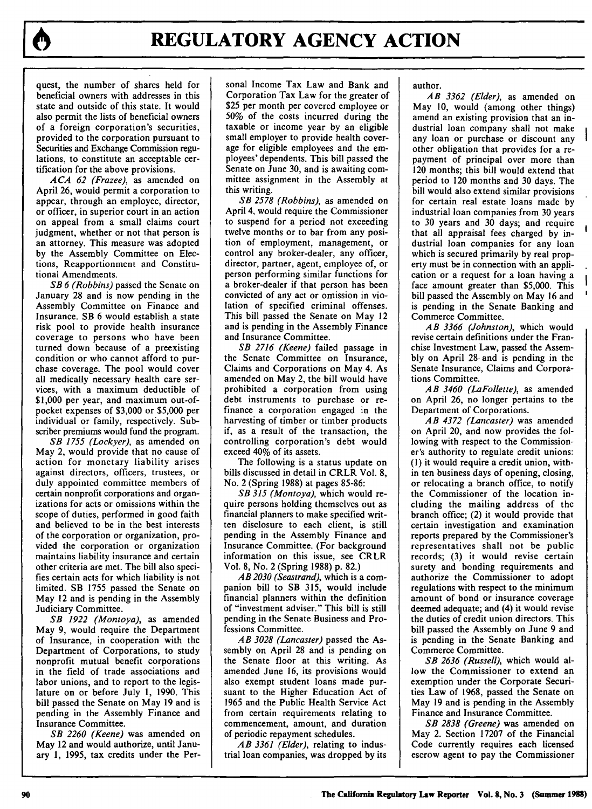quest, the number of shares held for beneficial owners with addresses in this state and outside of this state. It would also permit the lists of beneficial owners of a foreign corporation's securities, provided to the corporation pursuant to Securities and Exchange Commission regulations, to constitute an acceptable certification for the above provisions.

*ACA 62 (Frazee),* as amended on April 26, would permit a corporation to appear, through an employee, director, or officer, in superior court in an action on appeal from a small claims court judgment, whether or not that person is an attorney. This measure was adopted by the Assembly Committee on Elections, Reapportionment and Constitutional Amendments.

*SB 6 (Robbins)* passed the Senate on January 28 and is now pending in the Assembly Committee on Finance and Insurance. SB 6 would establish a state risk pool to provide health insurance coverage to persons who have been turned down because of a preexisting condition or who cannot afford to purchase coverage. The pool would cover all medically necessary health care services, with a maximum deductible of \$1,000 per year, and maximum out-ofpocket expenses of \$3,000 or \$5,000 per individual or family, respectively. Subscriber premiums would fund the program.

*SB 1755 (Lockyer),* as amended on May 2, would provide that no cause of action for monetary liability arises against directors, officers, trustees, or duly appointed committee members of certain nonprofit corporations and organizations for acts or omissions within the scope of duties, performed in good faith and believed to be in the best interests of the corporation or organization, provided the corporation or organization maintains liability insurance and certain other criteria are met. The bill also specifies certain acts for which liability is not limited. SB 1755 passed the Senate on May 12 and is pending in the Assembly Judiciary Committee.

*SB 1922 (Montoya),* as amended May 9, would require the Department of Insurance, in cooperation with the Department of Corporations, to study nonprofit mutual benefit corporations in the field of trade associations and labor unions, and to report to the legislature on or before July 1, 1990. This bill passed the Senate on May 19 and is pending in the Assembly Finance and Insurance Committee.

*SB 2260 (Keene)* was amended on May 12 and would authorize, until January 1, 1995, tax credits under the Personal Income Tax Law and Bank and Corporation Tax Law for the greater of \$25 per month per covered employee or 50% of the costs incurred during the taxable or income year by an eligible small employer to provide health coverage for eligible employees and the employees' dependents. This bill passed the Senate on June 30, and is awaiting committee assignment in the Assembly at this writing.

*SB 2578 (Robbins),* as amended on April 4, would require the Commissioner to suspend for a period not exceeding twelve months or to bar from any position of employment, management, or control any broker-dealer, any officer, director, partner, agent, employee of, or person performing similar functions for a broker-dealer if that person has been convicted of any act or omission in violation of specified criminal offenses. This bill passed the Senate on May 12 and is pending in the Assembly Finance and Insurance Committee.

*SB 2716 (Keene)* failed passage in the Senate Committee on Insurance, Claims and Corporations on May 4. As amended on May 2, the bill would have prohibited a corporation from using debt instruments to purchase or refinance a corporation engaged in the harvesting of timber or timber products if, as a result of the transaction, the controlling corporation's debt would exceed 40% of its assets.

The following is a status update on bills discussed in detail in CRLR Vol. 8, No. 2 (Spring 1988) at pages 85-86:

*SB 315 (Montoya),* which would require persons holding themselves out as financial planners to make specified written disclosure to each client, is still pending in the Assembly Finance and Insurance Committee. (For background information on this issue, see CRLR Vol. 8, No. 2 (Spring 1988) p. 82.)

*AB 2030 (Seastrand),* which is a companion bill to SB 315, would include financial planners within the definition of "investment adviser." This bill is still pending in the Senate Business and Professions Committee.

*AB 3028 (Lancaster)* passed the Assembly on April 28 and is pending on the Senate floor at this writing. As amended June 16, its provisions would also exempt student loans made pursuant to the Higher Education Act of 1965 and the Public Health Service Act from certain requirements relating to commencement, amount, and duration of periodic repayment schedules.

*AB 3361 (Elder),* relating to industrial loan companies, was dropped by its author.

*AB 3362 (Elder),* as amended on May 10, would (among other things) amend an existing provision that an industrial loan company shall not make any loan or purchase or discount any other obligation that provides for a repayment of principal over more than 120 months; this bill would extend that period to 120 months and 30 days. The bill would also extend similar provisions for certain real estate loans made by industrial loan companies from 30 years to 30 years and 30 days; and require that all appraisal fees charged by industrial loan companies for any loan which is secured primarily **by** real property must be in connection with an application or a request for a loan having a face amount greater than \$5,000. This bill passed the Assembly on May 16 and is pending in the Senate Banking and Commerce Committee.

*AB 3366 (Johnston),* which would revise certain definitions under the Franchise Investment Law, passed the Assembly on April **28-** and is pending in the Senate Insurance, Claims and Corporations Committee.

*AB 3460 (LaFollette),* as amended on April 26, no longer pertains to the Department of Corporations.

*AB 4372 (Lancaster)* was amended on April 20, and now provides the following with respect to the Commissioner's authority to regulate credit unions: **(1)** it would require a credit union, within ten business days of opening, closing, or relocating a branch office, to notify the Commissioner of the location including the mailing address of the branch office; (2) it would provide that certain investigation and examination reports prepared by the Commissioner's representatives shall not be public records; (3) it would revise certain surety and bonding requirements and authorize the Commissioner to adopt regulations with respect to the minimum amount of bond or insurance coverage deemed adequate; and (4) it would revise the duties of credit union directors. This bill passed the Assembly on June 9 and is pending in the Senate Banking and Commerce Committee.

*SB 2636 (Russell),* which would allow the Commissioner to extend an exemption under the Corporate Securities Law of 1968, passed the Senate on May 19 and is pending in the Assembly Finance and Insurance Committee.

*SB 2838 (Greene)* was amended on May 2. Section 17207 of the Financial Code currently requires each licensed escrow agent to pay the Commissioner